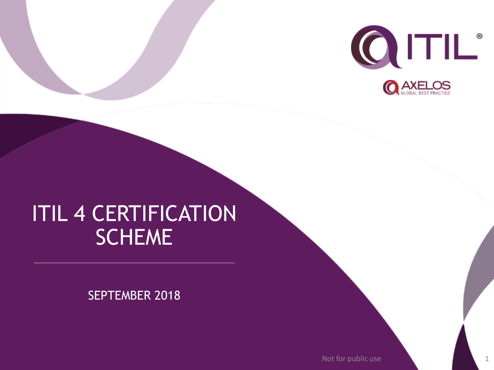

## ITIL 4 CERTIFICATION SCHEME

SEPTEMBER 2018

Not for public use 1 and 1 1 and 1 1 and 1 1 and 1 1 and 1 and 1 and 1 and 1 and 1 and 1 and 1 and 1 and 1 and 1 and 1 and 1 and 1 and 1 and 1 and 1 and 1 and 1 and 1 and 1 and 1 and 1 and 1 and 1 and 1 and 1 and 1 and 1 a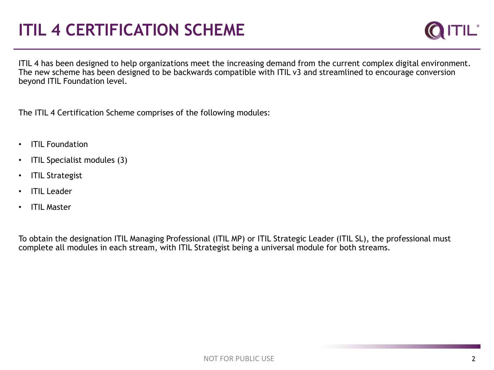## **ITIL 4 CERTIFICATION SCHEME**



ITIL 4 has been designed to help organizations meet the increasing demand from the current complex digital environment. The new scheme has been designed to be backwards compatible with ITIL v3 and streamlined to encourage conversion beyond ITIL Foundation level.

The ITIL 4 Certification Scheme comprises of the following modules:

- ITIL Foundation
- ITIL Specialist modules (3)
- ITIL Strategist
- **ITIL Leader**
- ITIL Master

To obtain the designation ITIL Managing Professional (ITIL MP) or ITIL Strategic Leader (ITIL SL), the professional must complete all modules in each stream, with ITIL Strategist being a universal module for both streams.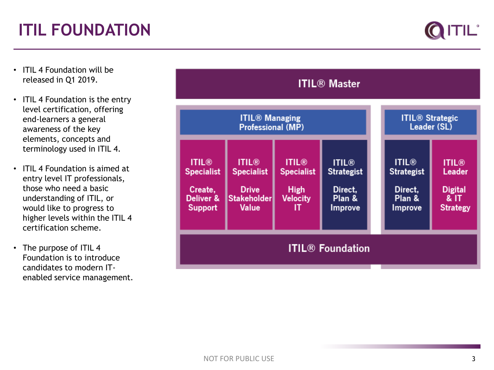

- ITIL 4 Foundation will be released in Q1 2019.
- ITIL 4 Foundation is the entry level certification, offering end -learners a general awareness of the key elements, concepts and terminology used in ITIL 4.
- ITIL 4 Foundation is aimed at entry level IT professionals, those who need a basic understanding of ITIL, or would like to progress to higher levels within the ITIL 4 certification scheme.
- The purpose of ITIL 4 Foundation is to introduce candidates to modern IT enabled service management.

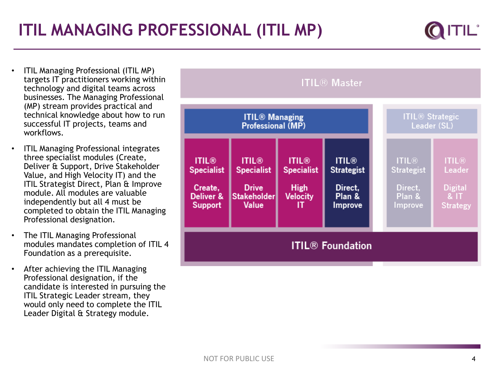- ITIL Managing Professional (ITIL MP) targets IT practitioners working within technology and digital teams across businesses. The Managing Professional (MP) stream provides practical and technical knowledge about how to run successful IT projects, teams and workflows.
- ITIL Managing Professional integrates three specialist modules (Create, Deliver & Support, Drive Stakeholder Value, and High Velocity IT) and the ITIL Strategist Direct, Plan & Improve module. All modules are valuable independently but all 4 must be completed to obtain the ITIL Managing Professional designation.
- The ITIL Managing Professional modules mandates completion of ITIL 4 Foundation as a prerequisite.
- After achieving the ITIL Managing Professional designation, if the candidate is interested in pursuing the ITIL Strategic Leader stream, they would only need to complete the ITIL Leader Digital & Strategy module.

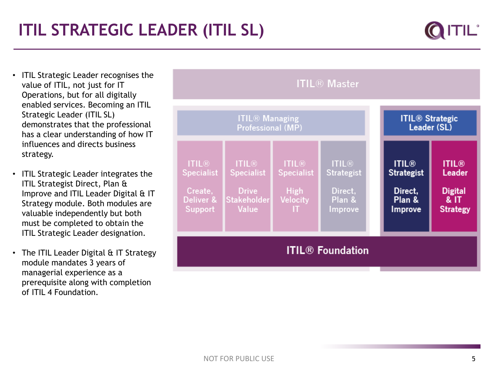- ITIL Strategic Leader recognises the value of ITIL, not just for IT Operations, but for all digitally enabled services. Becoming an ITIL Strategic Leader (ITIL SL) demonstrates that the professional has a clear understanding of how IT influences and directs business strategy.
- ITIL Strategic Leader integrates the ITIL Strategist Direct, Plan & Improve and ITIL Leader Digital & IT Strategy module. Both modules are valuable independently but both must be completed to obtain the ITIL Strategic Leader designation.
- The ITIL Leader Digital & IT Strategy module mandates 3 years of managerial experience as a prerequisite along with completion of ITIL 4 Foundation.

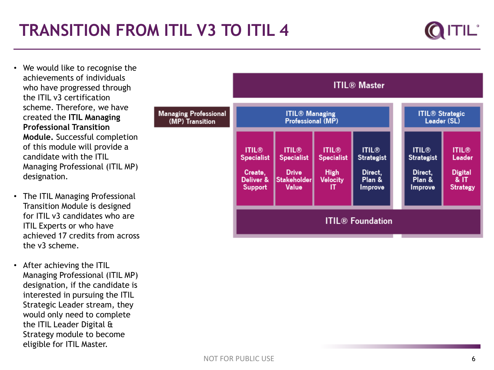## **TRANSITION FROM ITIL V3 TO ITIL 4**



- We would like to recognise the achievements of individuals who have progressed through the ITIL v3 certification scheme. Therefore, we have created the **ITIL Managing Professional Transition Module.** Successful completion of this module will provide a candidate with the ITIL Managing Professional (ITIL MP) designation.
- The ITIL Managing Professional Transition Module is designed for ITIL v3 candidates who are ITIL Experts or who have achieved 17 credits from across the v3 scheme.
- After achieving the ITIL Managing Professional (ITIL MP) designation, if the candidate is interested in pursuing the ITIL Strategic Leader stream, they would only need to complete the ITIL Leader Digital & Strategy module to become eligible for ITIL Master.

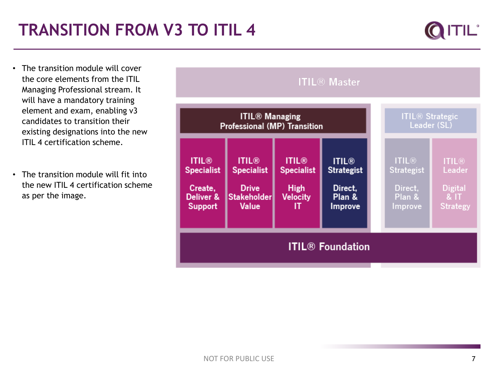- The transition module will cover the core elements from the ITIL Managing Professional stream. It will have a mandatory training element and exam, enabling v3 candidates to transition their existing designations into the new ITIL 4 certification scheme.
- The transition module will fit into the new ITIL 4 certification scheme as per the image.

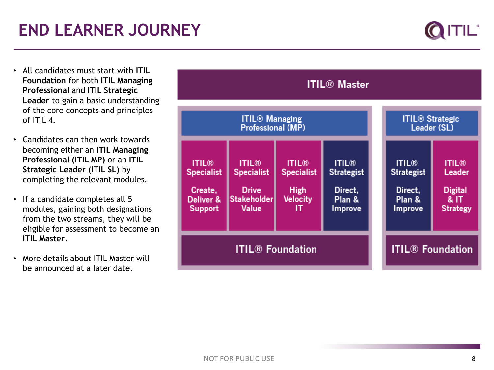

- All candidates must start with **ITIL Foundation** for both **ITIL Managing Professional** and **ITIL Strategic Leader** to gain a basic understanding of the core concepts and principles of  $ITII$  4.
- Candidates can then work towards becoming either an **ITIL Managing Professional (ITIL MP)** or an **ITIL Strategic Leader (ITIL SL)** by completing the relevant modules.
- If a candidate completes all 5 modules, gaining both designations from the two streams, they will be eligible for assessment to become an **ITIL Master**.
- More details about ITIL Master will be announced at a later date.